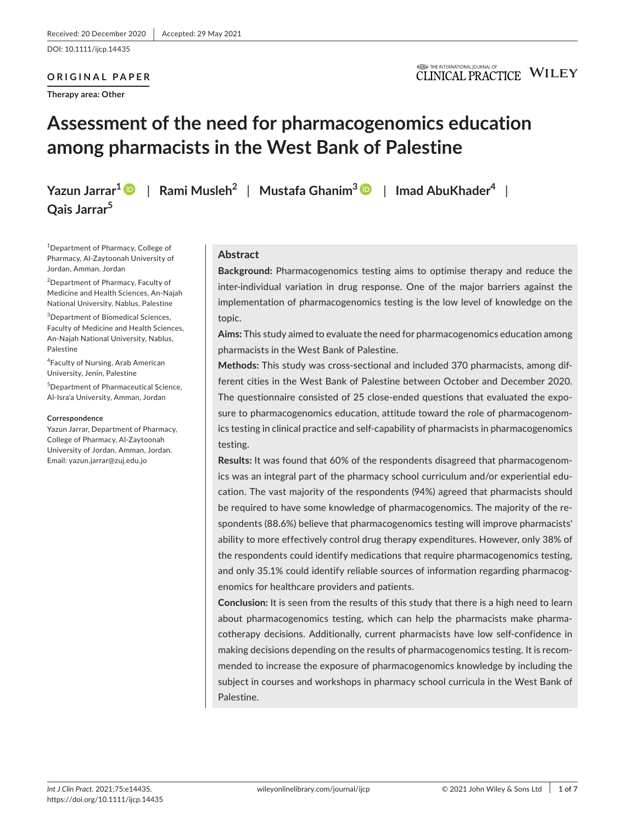DOI: 10.1111/ijcp.14435

# **ORIGINAL PAPER**

**Therapy area: Other**

## **ITED** THE INTERNATIONAL JOURNAL OF **CLINICAL PRACTICE WILEY**

# **Assessment of the need for pharmacogenomics education among pharmacists in the West Bank of Palestine**

**Qais Jarrar5**

**Yazun Jarrar[1](https://orcid.org/0000-0002-5943-7229)** | **Rami Musleh2** | **Mustafa Ghanim3** | **Imad AbuKhader4** |

1 Department of Pharmacy, College of Pharmacy, Al-Zaytoonah University of Jordan, Amman, Jordan

<sup>2</sup>Department of Pharmacy, Faculty of Medicine and Health Sciences, An-Najah National University, Nablus, Palestine

3 Department of Biomedical Sciences, Faculty of Medicine and Health Sciences, An-Najah National University, Nablus, Palestine

4 Faculty of Nursing, Arab American University, Jenin, Palestine

5 Department of Pharmaceutical Science, Al-Isra'a University, Amman, Jordan

#### **Correspondence**

Yazun Jarrar, Department of Pharmacy, College of Pharmacy, Al-Zaytoonah University of Jordan, Amman, Jordan. Email: [yazun.jarrar@zuj.edu.jo](mailto:yazun.jarrar@zuj.edu.jo)

## **Abstract**

**Background:** Pharmacogenomics testing aims to optimise therapy and reduce the inter-individual variation in drug response. One of the major barriers against the implementation of pharmacogenomics testing is the low level of knowledge on the topic.

**Aims:** This study aimed to evaluate the need for pharmacogenomics education among pharmacists in the West Bank of Palestine.

**Methods:** This study was cross-sectional and included 370 pharmacists, among different cities in the West Bank of Palestine between October and December 2020. The questionnaire consisted of 25 close-ended questions that evaluated the exposure to pharmacogenomics education, attitude toward the role of pharmacogenomics testing in clinical practice and self-capability of pharmacists in pharmacogenomics testing.

**Results:** It was found that 60% of the respondents disagreed that pharmacogenomics was an integral part of the pharmacy school curriculum and/or experiential education. The vast majority of the respondents (94%) agreed that pharmacists should be required to have some knowledge of pharmacogenomics. The majority of the respondents (88.6%) believe that pharmacogenomics testing will improve pharmacists' ability to more effectively control drug therapy expenditures. However, only 38% of the respondents could identify medications that require pharmacogenomics testing, and only 35.1% could identify reliable sources of information regarding pharmacogenomics for healthcare providers and patients.

**Conclusion:** It is seen from the results of this study that there is a high need to learn about pharmacogenomics testing, which can help the pharmacists make pharmacotherapy decisions. Additionally, current pharmacists have low self-confidence in making decisions depending on the results of pharmacogenomics testing. It is recommended to increase the exposure of pharmacogenomics knowledge by including the subject in courses and workshops in pharmacy school curricula in the West Bank of Palestine.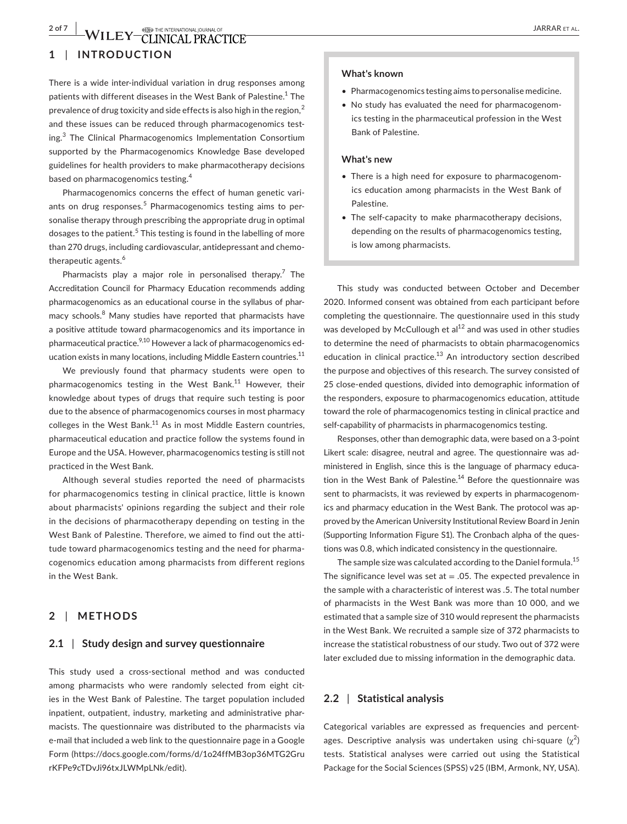# **2 of 7 WILEY CLINICAL PRACTICE SERVER ALLOWSE ALLOWSE ALLOWSED A SARRAR ET ALLOWSED BY CLINICAL PRACTICE SERVER ALLOWSED AT A LARRAR ET ALLOWSED AT A LARRAR ET ALLOWSED AT A LARRAR ET ALLOWSED AT A LARRAR ET ALLOWSED AT A**

# **1** | **INTRODUCTION**

There is a wide inter-individual variation in drug responses among patients with different diseases in the West Bank of Palestine.<sup>1</sup> The prevalence of drug toxicity and side effects is also high in the region, $2$ and these issues can be reduced through pharmacogenomics testing.<sup>3</sup> The Clinical Pharmacogenomics Implementation Consortium supported by the Pharmacogenomics Knowledge Base developed guidelines for health providers to make pharmacotherapy decisions based on pharmacogenomics testing.<sup>4</sup>

Pharmacogenomics concerns the effect of human genetic variants on drug responses.<sup>5</sup> Pharmacogenomics testing aims to personalise therapy through prescribing the appropriate drug in optimal dosages to the patient.<sup>5</sup> This testing is found in the labelling of more than 270 drugs, including cardiovascular, antidepressant and chemotherapeutic agents.<sup>6</sup>

Pharmacists play a major role in personalised therapy.<sup>7</sup> The Accreditation Council for Pharmacy Education recommends adding pharmacogenomics as an educational course in the syllabus of pharmacy schools.<sup>8</sup> Many studies have reported that pharmacists have a positive attitude toward pharmacogenomics and its importance in pharmaceutical practice. $9,10$  However a lack of pharmacogenomics education exists in many locations, including Middle Eastern countries.<sup>11</sup>

We previously found that pharmacy students were open to pharmacogenomics testing in the West Bank.<sup>11</sup> However, their knowledge about types of drugs that require such testing is poor due to the absence of pharmacogenomics courses in most pharmacy colleges in the West Bank. $11$  As in most Middle Eastern countries, pharmaceutical education and practice follow the systems found in Europe and the USA. However, pharmacogenomics testing is still not practiced in the West Bank.

Although several studies reported the need of pharmacists for pharmacogenomics testing in clinical practice, little is known about pharmacists' opinions regarding the subject and their role in the decisions of pharmacotherapy depending on testing in the West Bank of Palestine. Therefore, we aimed to find out the attitude toward pharmacogenomics testing and the need for pharmacogenomics education among pharmacists from different regions in the West Bank.

#### **2** | **METHODS**

## **2.1** | **Study design and survey questionnaire**

This study used a cross-sectional method and was conducted among pharmacists who were randomly selected from eight cities in the West Bank of Palestine. The target population included inpatient, outpatient, industry, marketing and administrative pharmacists. The questionnaire was distributed to the pharmacists via e-mail that included a web link to the questionnaire page in a Google Form [\(https://docs.google.com/forms/d/1o24ffMB3op36MTG2Gru](https://docs.google.com/forms/d/1o24ffMB3op36MTG2GrurKFPe9cTDvJi96txJLWMpLNk/edit) [rKFPe9cTDvJi96txJLWMpLNk/edit](https://docs.google.com/forms/d/1o24ffMB3op36MTG2GrurKFPe9cTDvJi96txJLWMpLNk/edit)).

#### **What's known**

- Pharmacogenomics testing aims to personalise medicine.
- No study has evaluated the need for pharmacogenomics testing in the pharmaceutical profession in the West Bank of Palestine.

#### **What's new**

- There is a high need for exposure to pharmacogenomics education among pharmacists in the West Bank of Palestine.
- The self-capacity to make pharmacotherapy decisions, depending on the results of pharmacogenomics testing, is low among pharmacists.

This study was conducted between October and December 2020. Informed consent was obtained from each participant before completing the questionnaire. The questionnaire used in this study was developed by McCullough et al<sup>12</sup> and was used in other studies to determine the need of pharmacists to obtain pharmacogenomics education in clinical practice.<sup>13</sup> An introductory section described the purpose and objectives of this research. The survey consisted of 25 close-ended questions, divided into demographic information of the responders, exposure to pharmacogenomics education, attitude toward the role of pharmacogenomics testing in clinical practice and self-capability of pharmacists in pharmacogenomics testing.

Responses, other than demographic data, were based on a 3-point Likert scale: disagree, neutral and agree. The questionnaire was administered in English, since this is the language of pharmacy education in the West Bank of Palestine.<sup>14</sup> Before the questionnaire was sent to pharmacists, it was reviewed by experts in pharmacogenomics and pharmacy education in the West Bank. The protocol was approved by the American University Institutional Review Board in Jenin (Supporting Information Figure S1). The Cronbach alpha of the questions was 0.8, which indicated consistency in the questionnaire.

The sample size was calculated according to the Daniel formula.<sup>15</sup> The significance level was set at  $= .05$ . The expected prevalence in the sample with a characteristic of interest was .5. The total number of pharmacists in the West Bank was more than 10 000, and we estimated that a sample size of 310 would represent the pharmacists in the West Bank. We recruited a sample size of 372 pharmacists to increase the statistical robustness of our study. Two out of 372 were later excluded due to missing information in the demographic data.

#### **2.2** | **Statistical analysis**

Categorical variables are expressed as frequencies and percentages. Descriptive analysis was undertaken using chi-square  $(\chi^2)$ tests. Statistical analyses were carried out using the Statistical Package for the Social Sciences (SPSS) v25 (IBM, Armonk, NY, USA).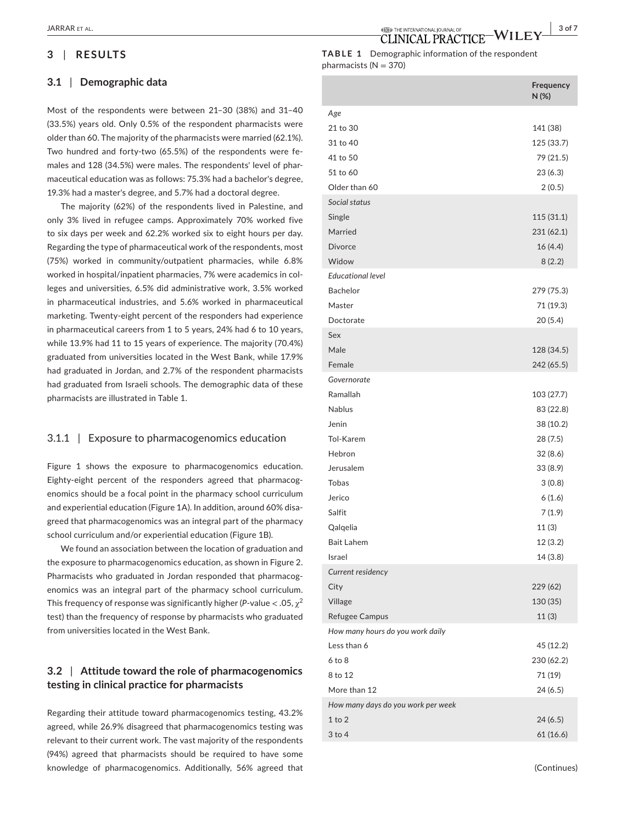# **3** | **RESULTS**

#### **3.1** | **Demographic data**

Most of the respondents were between 21–30 (38%) and 31–40 (33.5%) years old. Only 0.5% of the respondent pharmacists were older than 60. The majority of the pharmacists were married (62.1%). Two hundred and forty-two (65.5%) of the respondents were females and 128 (34.5%) were males. The respondents' level of pharmaceutical education was as follows: 75.3% had a bachelor's degree, 19.3% had a master's degree, and 5.7% had a doctoral degree.

The majority (62%) of the respondents lived in Palestine, and only 3% lived in refugee camps. Approximately 70% worked five to six days per week and 62.2% worked six to eight hours per day. Regarding the type of pharmaceutical work of the respondents, most (75%) worked in community/outpatient pharmacies, while 6.8% worked in hospital/inpatient pharmacies, 7% were academics in colleges and universities, 6.5% did administrative work, 3.5% worked in pharmaceutical industries, and 5.6% worked in pharmaceutical marketing. Twenty-eight percent of the responders had experience in pharmaceutical careers from 1 to 5 years, 24% had 6 to 10 years, while 13.9% had 11 to 15 years of experience. The majority (70.4%) graduated from universities located in the West Bank, while 17.9% had graduated in Jordan, and 2.7% of the respondent pharmacists had graduated from Israeli schools. The demographic data of these pharmacists are illustrated in Table 1.

### 3.1.1 | Exposure to pharmacogenomics education

Figure 1 shows the exposure to pharmacogenomics education. Eighty-eight percent of the responders agreed that pharmacogenomics should be a focal point in the pharmacy school curriculum and experiential education (Figure 1A). In addition, around 60% disagreed that pharmacogenomics was an integral part of the pharmacy school curriculum and/or experiential education (Figure 1B).

We found an association between the location of graduation and the exposure to pharmacogenomics education, as shown in Figure 2. Pharmacists who graduated in Jordan responded that pharmacogenomics was an integral part of the pharmacy school curriculum. This frequency of response was significantly higher (*P*-value  $<$  .05,  $\gamma^2$ test) than the frequency of response by pharmacists who graduated from universities located in the West Bank.

# **3.2** | **Attitude toward the role of pharmacogenomics testing in clinical practice for pharmacists**

Regarding their attitude toward pharmacogenomics testing, 43.2% agreed, while 26.9% disagreed that pharmacogenomics testing was relevant to their current work. The vast majority of the respondents (94%) agreed that pharmacists should be required to have some knowledge of pharmacogenomics. Additionally, 56% agreed that

 **|** JARRAR et al. **3 of 7**

## **TABLE 1** Demographic information of the respondent pharmacists ( $N = 370$ )

|                                    | Frequency<br>N(%) |
|------------------------------------|-------------------|
| Age                                |                   |
| 21 to 30                           | 141 (38)          |
| 31 to 40                           | 125 (33.7)        |
| 41 to 50                           | 79 (21.5)         |
| 51 to 60                           | 23(6.3)           |
| Older than 60                      | 2(0.5)            |
| Social status                      |                   |
| Single                             | 115 (31.1)        |
| Married                            | 231 (62.1)        |
| <b>Divorce</b>                     | 16 (4.4)          |
| Widow                              | 8(2.2)            |
| <b>Educational level</b>           |                   |
| <b>Bachelor</b>                    | 279 (75.3)        |
| Master                             | 71 (19.3)         |
| Doctorate                          | 20(5.4)           |
| Sex                                |                   |
| Male                               | 128 (34.5)        |
| Female                             | 242 (65.5)        |
| Governorate                        |                   |
| Ramallah                           | 103 (27.7)        |
| <b>Nablus</b>                      | 83 (22.8)         |
| Jenin                              | 38 (10.2)         |
| Tol-Karem                          | 28 (7.5)          |
| Hebron                             | 32(8.6)           |
| Jerusalem                          | 33 (8.9)          |
| <b>Tobas</b>                       | 3(0.8)            |
| Jerico                             | 6(1.6)            |
| Salfit                             | 7(1.9)            |
| Qalqelia                           | 11(3)             |
| <b>Bait Lahem</b>                  | 12 (3.2)          |
| Israel                             | 14(3.8)           |
| Current residency                  |                   |
| City                               | 229 (62)          |
| Village                            | 130 (35)          |
| Refugee Campus                     | 11(3)             |
| How many hours do you work daily   |                   |
| Less than 6                        | 45 (12.2)         |
| $6$ to $8$                         | 230 (62.2)        |
| 8 to 12                            | 71 (19)           |
| More than 12                       | 24 (6.5)          |
| How many days do you work per week |                   |
| $1$ to $2$                         | 24(6.5)           |
| $3$ to $4$                         | 61(16.6)          |
|                                    |                   |

(Continues)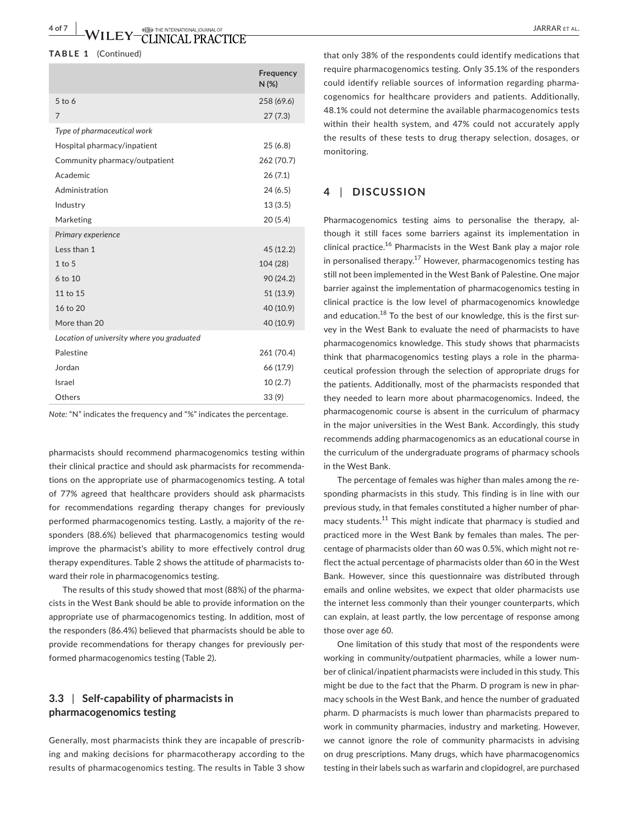#### **TABLE 1** (Continued)

|                                            | Frequency<br>N(%) |
|--------------------------------------------|-------------------|
| $5$ to 6                                   | 258 (69.6)        |
| 7                                          | 27(7.3)           |
| Type of pharmaceutical work                |                   |
| Hospital pharmacy/inpatient                | 25(6.8)           |
| Community pharmacy/outpatient              | 262 (70.7)        |
| Academic                                   | 26(7.1)           |
| Administration                             | 24(6.5)           |
| Industry                                   | 13(3.5)           |
| Marketing                                  | 20 (5.4)          |
| Primary experience                         |                   |
| Less than 1                                | 45 (12.2)         |
| $1$ to $5$                                 | 104 (28)          |
| 6 to 10                                    | 90 (24.2)         |
| 11 to 15                                   | 51 (13.9)         |
| 16 to 20                                   | 40 (10.9)         |
| More than 20                               | 40 (10.9)         |
| Location of university where you graduated |                   |
| Palestine                                  | 261 (70.4)        |
| Jordan                                     | 66 (17.9)         |
| Israel                                     | 10(2.7)           |
| Others                                     | 33(9)             |

*Note:* "N" indicates the frequency and "%" indicates the percentage.

pharmacists should recommend pharmacogenomics testing within their clinical practice and should ask pharmacists for recommendations on the appropriate use of pharmacogenomics testing. A total of 77% agreed that healthcare providers should ask pharmacists for recommendations regarding therapy changes for previously performed pharmacogenomics testing. Lastly, a majority of the responders (88.6%) believed that pharmacogenomics testing would improve the pharmacist's ability to more effectively control drug therapy expenditures. Table 2 shows the attitude of pharmacists toward their role in pharmacogenomics testing.

The results of this study showed that most (88%) of the pharmacists in the West Bank should be able to provide information on the appropriate use of pharmacogenomics testing. In addition, most of the responders (86.4%) believed that pharmacists should be able to provide recommendations for therapy changes for previously performed pharmacogenomics testing (Table 2).

# **3.3** | **Self-capability of pharmacists in pharmacogenomics testing**

Generally, most pharmacists think they are incapable of prescribing and making decisions for pharmacotherapy according to the results of pharmacogenomics testing. The results in Table 3 show

that only 38% of the respondents could identify medications that require pharmacogenomics testing. Only 35.1% of the responders could identify reliable sources of information regarding pharmacogenomics for healthcare providers and patients. Additionally, 48.1% could not determine the available pharmacogenomics tests within their health system, and 47% could not accurately apply the results of these tests to drug therapy selection, dosages, or monitoring.

### **4** | **DISCUSSION**

Pharmacogenomics testing aims to personalise the therapy, although it still faces some barriers against its implementation in clinical practice.<sup>16</sup> Pharmacists in the West Bank play a major role in personalised therapy.<sup>17</sup> However, pharmacogenomics testing has still not been implemented in the West Bank of Palestine. One major barrier against the implementation of pharmacogenomics testing in clinical practice is the low level of pharmacogenomics knowledge and education.<sup>18</sup> To the best of our knowledge, this is the first survey in the West Bank to evaluate the need of pharmacists to have pharmacogenomics knowledge. This study shows that pharmacists think that pharmacogenomics testing plays a role in the pharmaceutical profession through the selection of appropriate drugs for the patients. Additionally, most of the pharmacists responded that they needed to learn more about pharmacogenomics. Indeed, the pharmacogenomic course is absent in the curriculum of pharmacy in the major universities in the West Bank. Accordingly, this study recommends adding pharmacogenomics as an educational course in the curriculum of the undergraduate programs of pharmacy schools in the West Bank.

The percentage of females was higher than males among the responding pharmacists in this study. This finding is in line with our previous study, in that females constituted a higher number of pharmacy students.<sup>11</sup> This might indicate that pharmacy is studied and practiced more in the West Bank by females than males. The percentage of pharmacists older than 60 was 0.5%, which might not reflect the actual percentage of pharmacists older than 60 in the West Bank. However, since this questionnaire was distributed through emails and online websites, we expect that older pharmacists use the internet less commonly than their younger counterparts, which can explain, at least partly, the low percentage of response among those over age 60.

One limitation of this study that most of the respondents were working in community/outpatient pharmacies, while a lower number of clinical/inpatient pharmacists were included in this study. This might be due to the fact that the Pharm. D program is new in pharmacy schools in the West Bank, and hence the number of graduated pharm. D pharmacists is much lower than pharmacists prepared to work in community pharmacies, industry and marketing. However, we cannot ignore the role of community pharmacists in advising on drug prescriptions. Many drugs, which have pharmacogenomics testing in their labels such as warfarin and clopidogrel, are purchased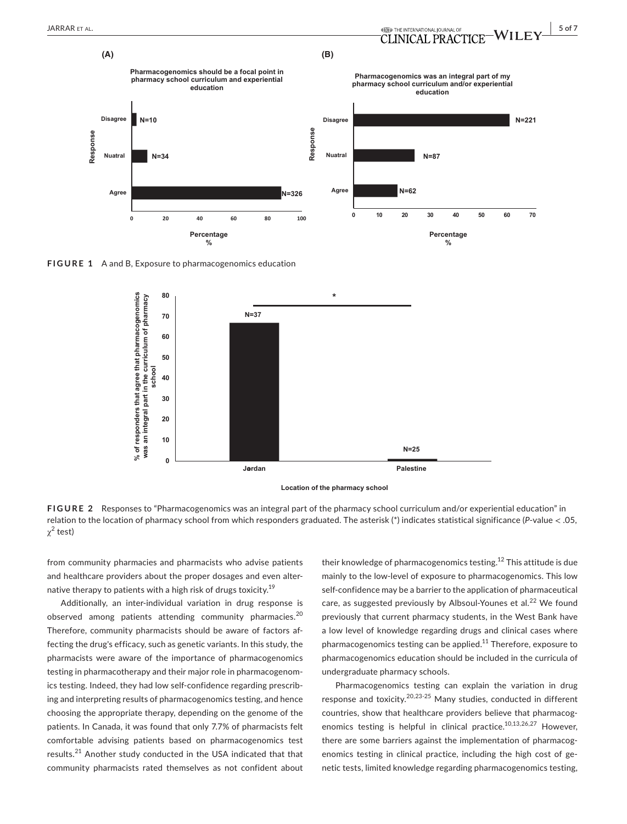

**FIGURE 1** A and B, Exposure to pharmacogenomics education



**Location of the pharmacy school**

**FIGURE 2** Responses to "Pharmacogenomics was an integral part of the pharmacy school curriculum and/or experiential education" in relation to the location of pharmacy school from which responders graduated. The asterisk (\*) indicates statistical significance (*P*-value < .05,  $\chi^2$  test)

from community pharmacies and pharmacists who advise patients and healthcare providers about the proper dosages and even alternative therapy to patients with a high risk of drugs toxicity.<sup>19</sup>

Additionally, an inter-individual variation in drug response is observed among patients attending community pharmacies.<sup>20</sup> Therefore, community pharmacists should be aware of factors affecting the drug's efficacy, such as genetic variants. In this study, the pharmacists were aware of the importance of pharmacogenomics testing in pharmacotherapy and their major role in pharmacogenomics testing. Indeed, they had low self-confidence regarding prescribing and interpreting results of pharmacogenomics testing, and hence choosing the appropriate therapy, depending on the genome of the patients. In Canada, it was found that only 7.7% of pharmacists felt comfortable advising patients based on pharmacogenomics test results.<sup>21</sup> Another study conducted in the USA indicated that that community pharmacists rated themselves as not confident about

their knowledge of pharmacogenomics testing.<sup>12</sup> This attitude is due mainly to the low-level of exposure to pharmacogenomics. This low self-confidence may be a barrier to the application of pharmaceutical care, as suggested previously by Albsoul-Younes et al.<sup>22</sup> We found previously that current pharmacy students, in the West Bank have a low level of knowledge regarding drugs and clinical cases where pharmacogenomics testing can be applied.<sup>11</sup> Therefore, exposure to pharmacogenomics education should be included in the curricula of undergraduate pharmacy schools.

Pharmacogenomics testing can explain the variation in drug response and toxicity.<sup>20,23-25</sup> Many studies, conducted in different countries, show that healthcare providers believe that pharmacogenomics testing is helpful in clinical practice.<sup>10,13,26,27</sup> However, there are some barriers against the implementation of pharmacogenomics testing in clinical practice, including the high cost of genetic tests, limited knowledge regarding pharmacogenomics testing,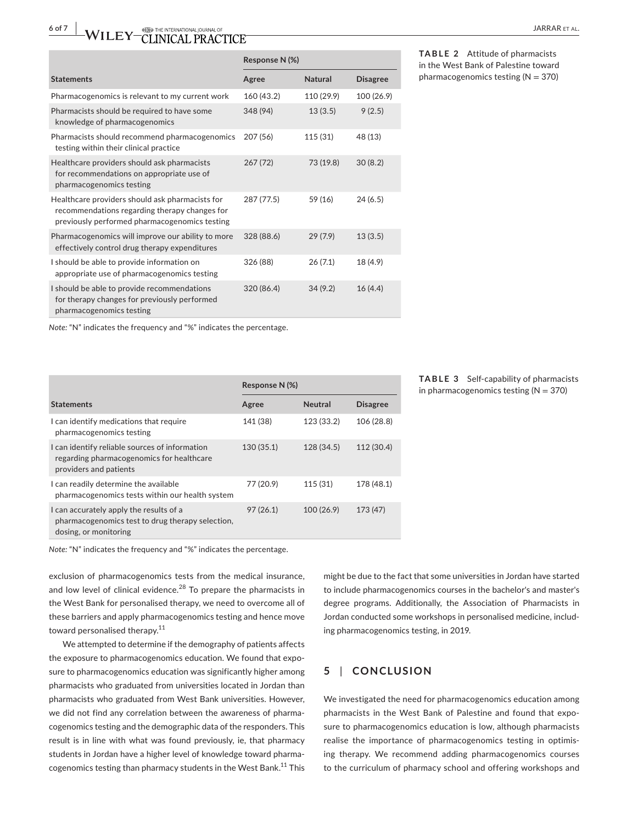|                                                                                                                                                   | Response N (%) |                |                 |
|---------------------------------------------------------------------------------------------------------------------------------------------------|----------------|----------------|-----------------|
| <b>Statements</b>                                                                                                                                 | Agree          | <b>Natural</b> | <b>Disagree</b> |
| Pharmacogenomics is relevant to my current work                                                                                                   | 160 (43.2)     | 110 (29.9)     | 100 (26.9)      |
| Pharmacists should be required to have some<br>knowledge of pharmacogenomics                                                                      | 348 (94)       | 13(3.5)        | 9(2.5)          |
| Pharmacists should recommend pharmacogenomics<br>testing within their clinical practice                                                           | 207 (56)       | 115 (31)       | 48 (13)         |
| Healthcare providers should ask pharmacists<br>for recommendations on appropriate use of<br>pharmacogenomics testing                              | 267(72)        | 73 (19.8)      | 30(8.2)         |
| Healthcare providers should ask pharmacists for<br>recommendations regarding therapy changes for<br>previously performed pharmacogenomics testing | 287 (77.5)     | 59 (16)        | 24(6.5)         |
| Pharmacogenomics will improve our ability to more<br>effectively control drug therapy expenditures                                                | 328 (88.6)     | 29(7.9)        | 13(3.5)         |
| I should be able to provide information on<br>appropriate use of pharmacogenomics testing                                                         | 326 (88)       | 26(7.1)        | 18 (4.9)        |
| I should be able to provide recommendations<br>for therapy changes for previously performed<br>pharmacogenomics testing                           | 320 (86.4)     | 34(9.2)        | 16(4.4)         |

**TABLE 2** Attitude of pharmacists in the West Bank of Palestine toward pharmacogenomics testing  $(N = 370)$ 

*Note:* "N" indicates the frequency and "%" indicates the percentage.

|                                                                                                                       | Response N (%) |                |                 |  |
|-----------------------------------------------------------------------------------------------------------------------|----------------|----------------|-----------------|--|
| <b>Statements</b>                                                                                                     | Agree          | <b>Neutral</b> | <b>Disagree</b> |  |
| I can identify medications that require<br>pharmacogenomics testing                                                   | 141 (38)       | 123 (33.2)     | 106 (28.8)      |  |
| I can identify reliable sources of information<br>regarding pharmacogenomics for healthcare<br>providers and patients | 130(35.1)      | 128 (34.5)     | 112 (30.4)      |  |
| I can readily determine the available<br>pharmacogenomics tests within our health system                              | 77 (20.9)      | 115(31)        | 178 (48.1)      |  |
| I can accurately apply the results of a<br>pharmacogenomics test to drug therapy selection,<br>dosing, or monitoring  | 97(26.1)       | 100 (26.9)     | 173 (47)        |  |

**TABLE 3** Self-capability of pharmacists in pharmacogenomics testing  $(N = 370)$ 

*Note:* "N" indicates the frequency and "%" indicates the percentage.

exclusion of pharmacogenomics tests from the medical insurance, and low level of clinical evidence.<sup>28</sup> To prepare the pharmacists in the West Bank for personalised therapy, we need to overcome all of these barriers and apply pharmacogenomics testing and hence move toward personalised therapy.<sup>11</sup>

We attempted to determine if the demography of patients affects the exposure to pharmacogenomics education. We found that exposure to pharmacogenomics education was significantly higher among pharmacists who graduated from universities located in Jordan than pharmacists who graduated from West Bank universities. However, we did not find any correlation between the awareness of pharmacogenomics testing and the demographic data of the responders. This result is in line with what was found previously, ie, that pharmacy students in Jordan have a higher level of knowledge toward pharmacogenomics testing than pharmacy students in the West Bank.<sup>11</sup> This

might be due to the fact that some universities in Jordan have started to include pharmacogenomics courses in the bachelor's and master's degree programs. Additionally, the Association of Pharmacists in Jordan conducted some workshops in personalised medicine, including pharmacogenomics testing, in 2019.

# **5** | **CONCLUSION**

We investigated the need for pharmacogenomics education among pharmacists in the West Bank of Palestine and found that exposure to pharmacogenomics education is low, although pharmacists realise the importance of pharmacogenomics testing in optimising therapy. We recommend adding pharmacogenomics courses to the curriculum of pharmacy school and offering workshops and